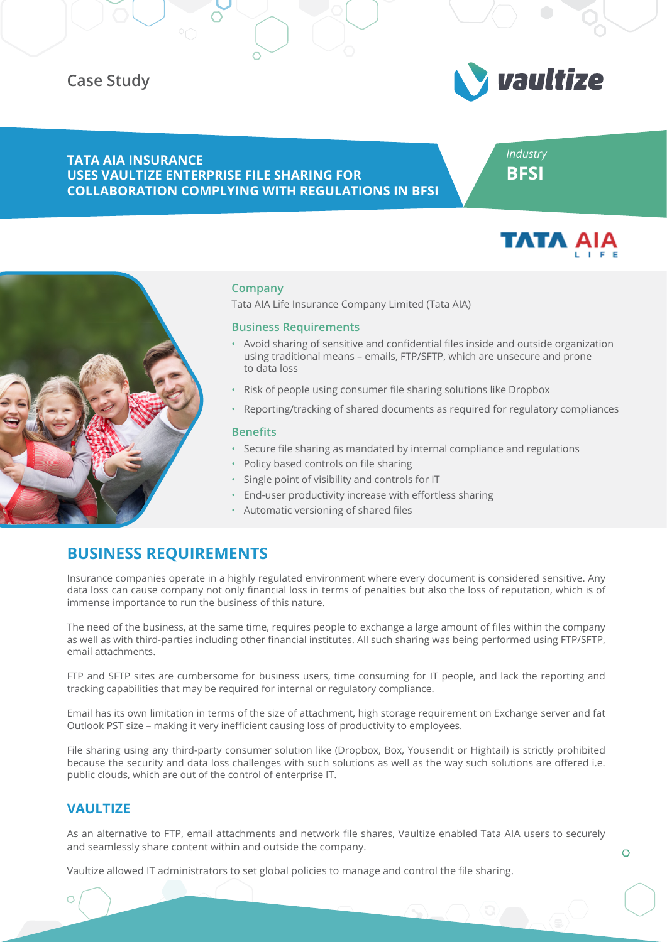# **Case Study**



## **TATA AIA INSURANCE USES VAULTIZE ENTERPRISE FILE SHARING FOR COLLABORATION COMPLYING WITH REGULATIONS IN BFSI**

*Industry* **BFSI**





### **Company**

Tata AIA Life Insurance Company Limited (Tata AIA)

#### **Business Requirements**

- Avoid sharing of sensitive and confidential files inside and outside organization using traditional means – emails, FTP/SFTP, which are unsecure and prone to data loss
- Risk of people using consumer file sharing solutions like Dropbox
- Reporting/tracking of shared documents as required for regulatory compliances

#### **Benefits**

- Secure file sharing as mandated by internal compliance and regulations
- Policy based controls on file sharing
- Single point of visibility and controls for IT
- End-user productivity increase with effortless sharing
- Automatic versioning of shared files

# **BUSINESS REQUIREMENTS**

Insurance companies operate in a highly regulated environment where every document is considered sensitive. Any data loss can cause company not only financial loss in terms of penalties but also the loss of reputation, which is of immense importance to run the business of this nature.

The need of the business, at the same time, requires people to exchange a large amount of files within the company as well as with third-parties including other financial institutes. All such sharing was being performed using FTP/SFTP, email attachments.

FTP and SFTP sites are cumbersome for business users, time consuming for IT people, and lack the reporting and tracking capabilities that may be required for internal or regulatory compliance.

Email has its own limitation in terms of the size of attachment, high storage requirement on Exchange server and fat Outlook PST size – making it very inefficient causing loss of productivity to employees.

File sharing using any third-party consumer solution like (Dropbox, Box, Yousendit or Hightail) is strictly prohibited because the security and data loss challenges with such solutions as well as the way such solutions are offered i.e. public clouds, which are out of the control of enterprise IT.

## **VAULTIZE**

As an alternative to FTP, email attachments and network file shares, Vaultize enabled Tata AIA users to securely and seamlessly share content within and outside the company.

Vaultize allowed IT administrators to set global policies to manage and control the file sharing.